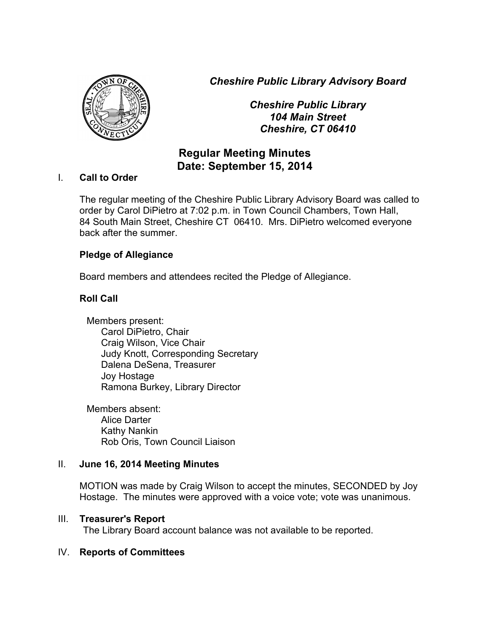*Cheshire Public Library Advisory Board*



*Cheshire Public Library 104 Main Street Cheshire, CT 06410*

# **Regular Meeting Minutes Date: September 15, 2014**

# I. **Call to Order**

The regular meeting of the Cheshire Public Library Advisory Board was called to order by Carol DiPietro at 7:02 p.m. in Town Council Chambers, Town Hall, 84 South Main Street, Cheshire CT 06410. Mrs. DiPietro welcomed everyone back after the summer.

# **Pledge of Allegiance**

Board members and attendees recited the Pledge of Allegiance.

# **Roll Call**

Members present: Carol DiPietro, Chair Craig Wilson, Vice Chair Judy Knott, Corresponding Secretary Dalena DeSena, Treasurer Joy Hostage Ramona Burkey, Library Director

Members absent: Alice Darter Kathy Nankin Rob Oris, Town Council Liaison

# II. **June 16, 2014 Meeting Minutes**

MOTION was made by Craig Wilson to accept the minutes, SECONDED by Joy Hostage. The minutes were approved with a voice vote; vote was unanimous.

# III. **Treasurer's Report**

The Library Board account balance was not available to be reported.

# IV. **Reports of Committees**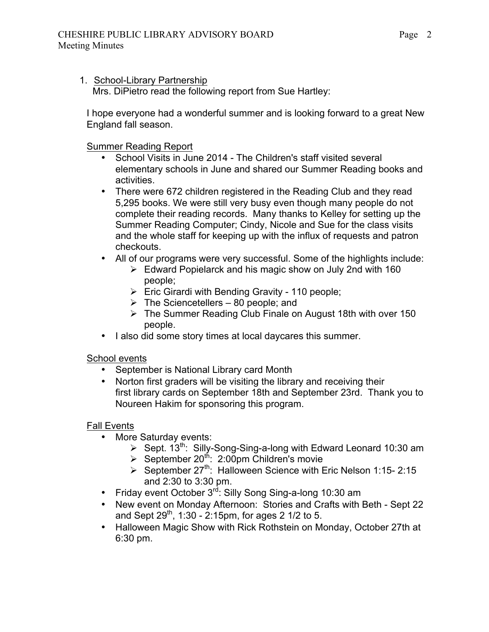1. School-Library Partnership

Mrs. DiPietro read the following report from Sue Hartley:

I hope everyone had a wonderful summer and is looking forward to a great New England fall season.

Summer Reading Report

- School Visits in June 2014 The Children's staff visited several elementary schools in June and shared our Summer Reading books and activities.
- There were 672 children registered in the Reading Club and they read 5,295 books. We were still very busy even though many people do not complete their reading records. Many thanks to Kelley for setting up the Summer Reading Computer; Cindy, Nicole and Sue for the class visits and the whole staff for keeping up with the influx of requests and patron checkouts.
- All of our programs were very successful. Some of the highlights include:
	- $\triangleright$  Edward Popielarck and his magic show on July 2nd with 160 people;
	- $\triangleright$  Eric Girardi with Bending Gravity 110 people;
	- $\triangleright$  The Sciencetellers 80 people; and
	- $\triangleright$  The Summer Reading Club Finale on August 18th with over 150 people.
- I also did some story times at local daycares this summer.

## School events

- September is National Library card Month
- Norton first graders will be visiting the library and receiving their first library cards on September 18th and September 23rd. Thank you to Noureen Hakim for sponsoring this program.

# Fall Events

- More Saturday events:
	- > Sept. 13<sup>th</sup>: Silly-Song-Sing-a-long with Edward Leonard 10:30 am
	- $\triangleright$  September 20<sup>th</sup>: 2:00pm Children's movie
	- $\triangleright$  September 27<sup>th</sup>: Halloween Science with Eric Nelson 1:15- 2:15 and 2:30 to 3:30 pm.
- Friday event October 3<sup>rd</sup>: Silly Song Sing-a-long 10:30 am
- New event on Monday Afternoon: Stories and Crafts with Beth Sept 22 and Sept  $29^{th}$ , 1:30 - 2:15pm, for ages 2 1/2 to 5.
- Halloween Magic Show with Rick Rothstein on Monday, October 27th at 6:30 pm.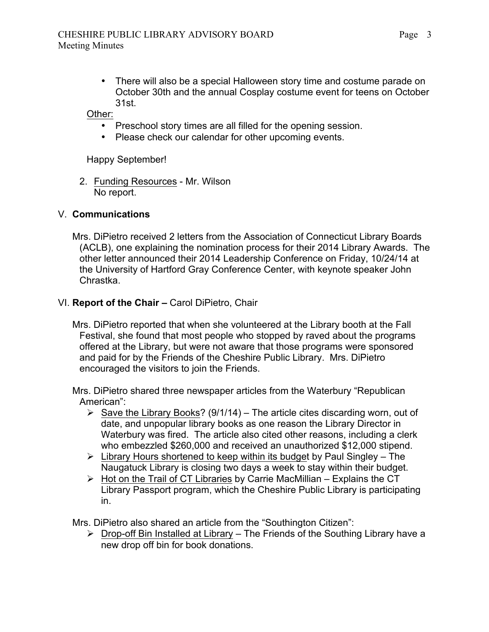• There will also be a special Halloween story time and costume parade on October 30th and the annual Cosplay costume event for teens on October 31st.

Other:

- Preschool story times are all filled for the opening session.
- Please check our calendar for other upcoming events.

Happy September!

2. Funding Resources - Mr. Wilson No report.

## V. **Communications**

Mrs. DiPietro received 2 letters from the Association of Connecticut Library Boards (ACLB), one explaining the nomination process for their 2014 Library Awards. The other letter announced their 2014 Leadership Conference on Friday, 10/24/14 at the University of Hartford Gray Conference Center, with keynote speaker John Chrastka.

## VI. **Report of the Chair –** Carol DiPietro, Chair

Mrs. DiPietro reported that when she volunteered at the Library booth at the Fall Festival, she found that most people who stopped by raved about the programs offered at the Library, but were not aware that those programs were sponsored and paid for by the Friends of the Cheshire Public Library. Mrs. DiPietro encouraged the visitors to join the Friends.

Mrs. DiPietro shared three newspaper articles from the Waterbury "Republican American":

- $\triangleright$  Save the Library Books? (9/1/14) The article cites discarding worn, out of date, and unpopular library books as one reason the Library Director in Waterbury was fired. The article also cited other reasons, including a clerk who embezzled \$260,000 and received an unauthorized \$12,000 stipend.
- $\triangleright$  Library Hours shortened to keep within its budget by Paul Singley The Naugatuck Library is closing two days a week to stay within their budget.
- $\triangleright$  Hot on the Trail of CT Libraries by Carrie MacMillian Explains the CT Library Passport program, which the Cheshire Public Library is participating in.

Mrs. DiPietro also shared an article from the "Southington Citizen":

 $\triangleright$  Drop-off Bin Installed at Library – The Friends of the Southing Library have a new drop off bin for book donations.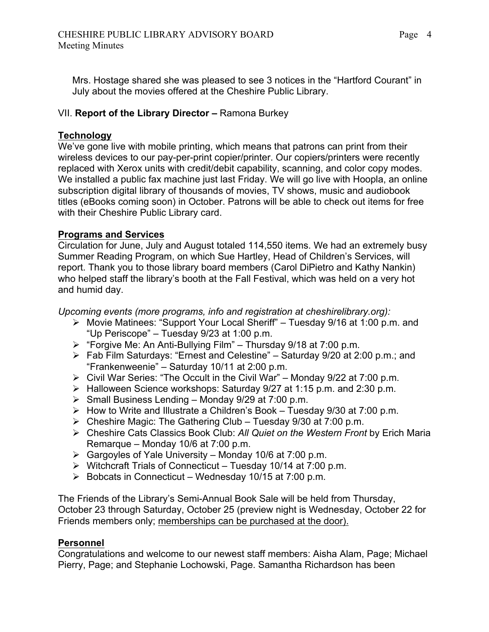Mrs. Hostage shared she was pleased to see 3 notices in the "Hartford Courant" in July about the movies offered at the Cheshire Public Library.

## VII. **Report of the Library Director –** Ramona Burkey

## **Technology**

We've gone live with mobile printing, which means that patrons can print from their wireless devices to our pay-per-print copier/printer. Our copiers/printers were recently replaced with Xerox units with credit/debit capability, scanning, and color copy modes. We installed a public fax machine just last Friday. We will go live with Hoopla, an online subscription digital library of thousands of movies, TV shows, music and audiobook titles (eBooks coming soon) in October. Patrons will be able to check out items for free with their Cheshire Public Library card.

# **Programs and Services**

Circulation for June, July and August totaled 114,550 items. We had an extremely busy Summer Reading Program, on which Sue Hartley, Head of Children's Services, will report. Thank you to those library board members (Carol DiPietro and Kathy Nankin) who helped staff the library's booth at the Fall Festival, which was held on a very hot and humid day.

*Upcoming events (more programs, info and registration at cheshirelibrary.org):*

- ! Movie Matinees: "Support Your Local Sheriff" Tuesday 9/16 at 1:00 p.m. and "Up Periscope" – Tuesday 9/23 at 1:00 p.m.
- $\triangleright$  "Forgive Me: An Anti-Bullying Film" Thursday 9/18 at 7:00 p.m.
- $\triangleright$  Fab Film Saturdays: "Ernest and Celestine" Saturday 9/20 at 2:00 p.m.; and "Frankenweenie" – Saturday 10/11 at 2:00 p.m.
- $\triangleright$  Civil War Series: "The Occult in the Civil War" Monday 9/22 at 7:00 p.m.
- $\triangleright$  Halloween Science workshops: Saturday 9/27 at 1:15 p.m. and 2:30 p.m.
- $\triangleright$  Small Business Lending Monday 9/29 at 7:00 p.m.
- $\triangleright$  How to Write and Illustrate a Children's Book Tuesday 9/30 at 7:00 p.m.
- $\triangleright$  Cheshire Magic: The Gathering Club Tuesday 9/30 at 7:00 p.m.
- ! Cheshire Cats Classics Book Club: *All Quiet on the Western Front* by Erich Maria Remarque – Monday 10/6 at 7:00 p.m.
- $\triangleright$  Gargoyles of Yale University Monday 10/6 at 7:00 p.m.
- $\triangleright$  Witchcraft Trials of Connecticut Tuesday 10/14 at 7:00 p.m.
- $\triangleright$  Bobcats in Connecticut Wednesday 10/15 at 7:00 p.m.

The Friends of the Library's Semi-Annual Book Sale will be held from Thursday, October 23 through Saturday, October 25 (preview night is Wednesday, October 22 for Friends members only; memberships can be purchased at the door).

## **Personnel**

Congratulations and welcome to our newest staff members: Aisha Alam, Page; Michael Pierry, Page; and Stephanie Lochowski, Page. Samantha Richardson has been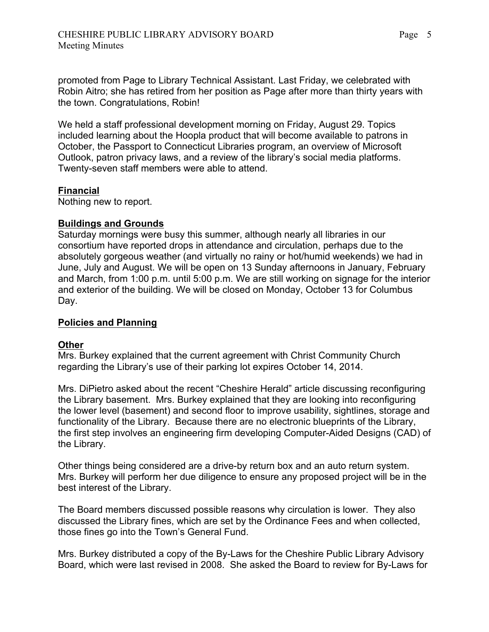promoted from Page to Library Technical Assistant. Last Friday, we celebrated with Robin Aitro; she has retired from her position as Page after more than thirty years with the town. Congratulations, Robin!

We held a staff professional development morning on Friday, August 29. Topics included learning about the Hoopla product that will become available to patrons in October, the Passport to Connecticut Libraries program, an overview of Microsoft Outlook, patron privacy laws, and a review of the library's social media platforms. Twenty-seven staff members were able to attend.

## **Financial**

Nothing new to report.

## **Buildings and Grounds**

Saturday mornings were busy this summer, although nearly all libraries in our consortium have reported drops in attendance and circulation, perhaps due to the absolutely gorgeous weather (and virtually no rainy or hot/humid weekends) we had in June, July and August. We will be open on 13 Sunday afternoons in January, February and March, from 1:00 p.m. until 5:00 p.m. We are still working on signage for the interior and exterior of the building. We will be closed on Monday, October 13 for Columbus Day.

## **Policies and Planning**

## **Other**

Mrs. Burkey explained that the current agreement with Christ Community Church regarding the Library's use of their parking lot expires October 14, 2014.

Mrs. DiPietro asked about the recent "Cheshire Herald" article discussing reconfiguring the Library basement. Mrs. Burkey explained that they are looking into reconfiguring the lower level (basement) and second floor to improve usability, sightlines, storage and functionality of the Library. Because there are no electronic blueprints of the Library, the first step involves an engineering firm developing Computer-Aided Designs (CAD) of the Library.

Other things being considered are a drive-by return box and an auto return system. Mrs. Burkey will perform her due diligence to ensure any proposed project will be in the best interest of the Library.

The Board members discussed possible reasons why circulation is lower. They also discussed the Library fines, which are set by the Ordinance Fees and when collected, those fines go into the Town's General Fund.

Mrs. Burkey distributed a copy of the By-Laws for the Cheshire Public Library Advisory Board, which were last revised in 2008. She asked the Board to review for By-Laws for